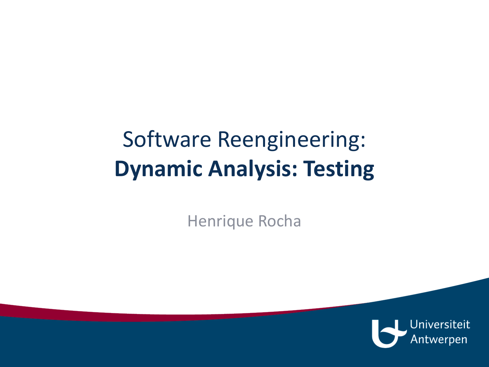# Software Reengineering: **Dynamic Analysis: Testing**

Henrique Rocha

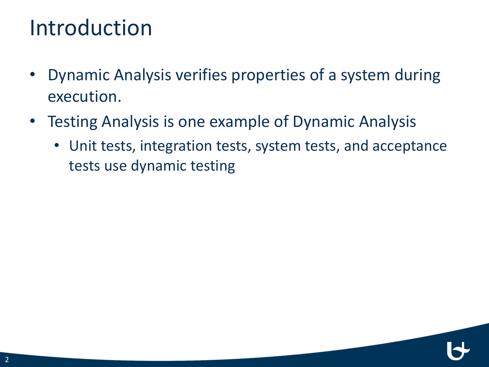## Introduction

- Dynamic Analysis verifies properties of a system during execution.
- Testing Analysis is one example of Dynamic Analysis
	- Unit tests, integration tests, system tests, and acceptance tests use dynamic testing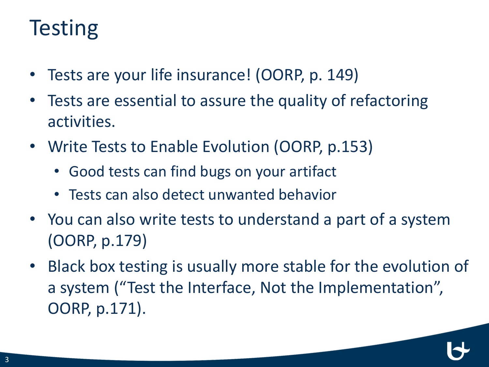## **Testing**

- Tests are your life insurance! (OORP, p. 149)
- Tests are essential to assure the quality of refactoring activities.
- Write Tests to Enable Evolution (OORP, p.153)
	- Good tests can find bugs on your artifact
	- Tests can also detect unwanted behavior
- You can also write tests to understand a part of a system (OORP, p.179)
- Black box testing is usually more stable for the evolution of a system ("Test the Interface, Not the Implementation", OORP, p.171).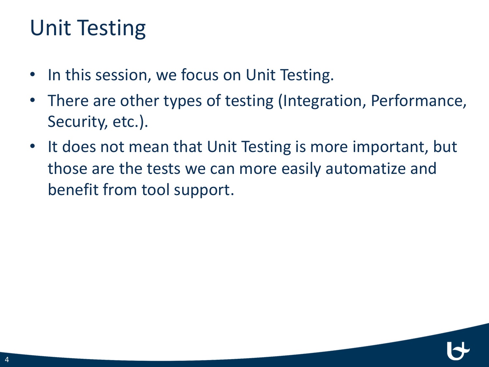# Unit Testing

- In this session, we focus on Unit Testing.
- There are other types of testing (Integration, Performance, Security, etc.).
- It does not mean that Unit Testing is more important, but those are the tests we can more easily automatize and benefit from tool support.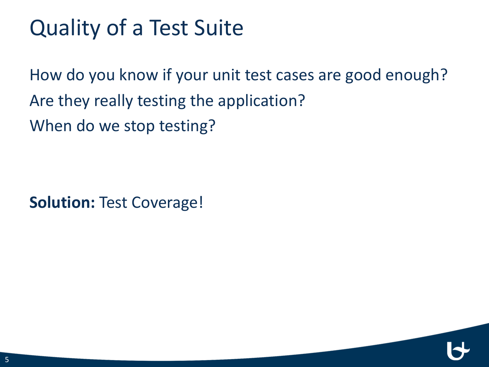# Quality of a Test Suite

How do you know if your unit test cases are good enough? Are they really testing the application? When do we stop testing?

**Solution: Test Coverage!**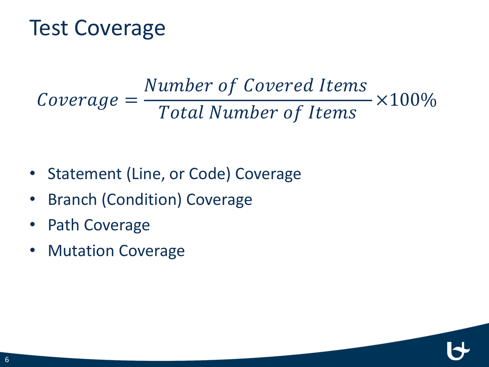#### Test Coverage

$$
Coverage = \frac{Number\ of\ Covered\ items}{Total\ Number\ of\ items} \times 100\%
$$

- Statement (Line, or Code) Coverage
- Branch (Condition) Coverage
- Path Coverage
- Mutation Coverage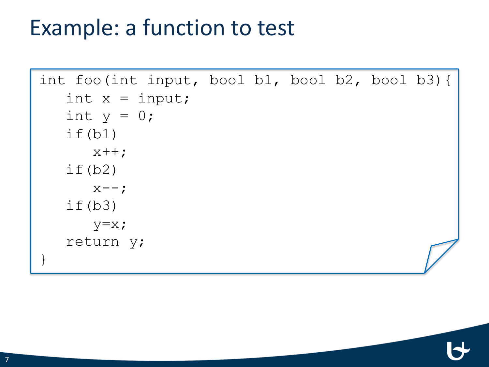## Example: a function to test

```
int foo(int input, bool b1, bool b2, bool b3){
   int x = input;int y = 0;
   if(b1)x++;if(b2)X--;if(b3)
      y=x;return y;
}
```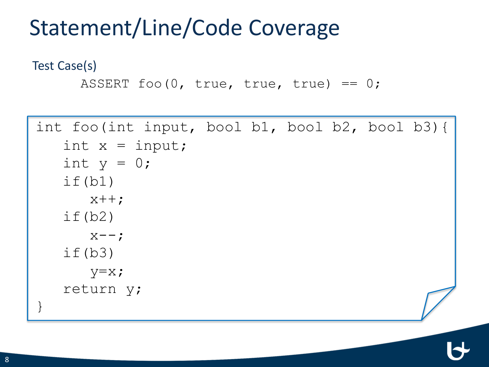# Statement/Line/Code Coverage

Test Case(s)

```
ASSERT foo(0, \text{true}, \text{true}, \text{true}) == 0;
```

```
int foo(int input, bool b1, bool b2, bool b3){
   int x = input;int y = 0;
   if(b1)
      x++;if(b2)X--;
   if(b3)
      y=x;return y;
}
```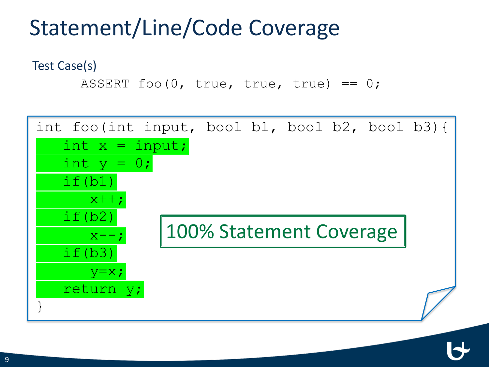# Statement/Line/Code Coverage

Test Case(s)

ASSERT foo $(0, \text{true}, \text{true}, \text{true}) == 0;$ 

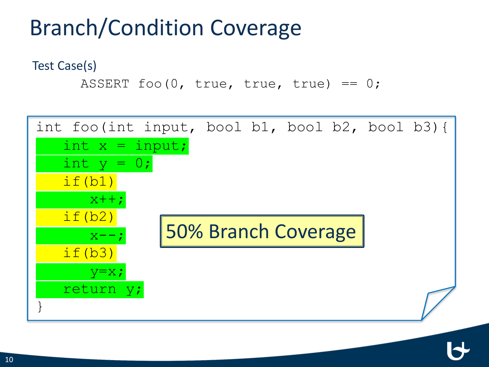# Branch/Condition Coverage

Test Case(s)

ASSERT foo $(0, \text{true}, \text{true}, \text{true}) == 0;$ 

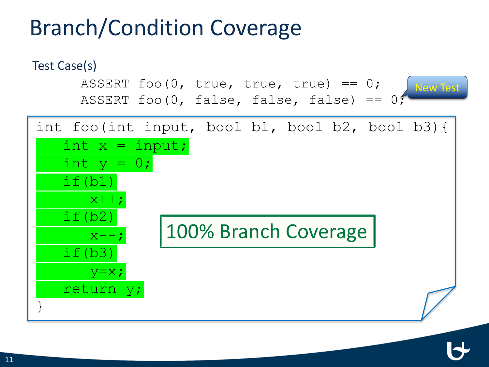# Branch/Condition Coverage

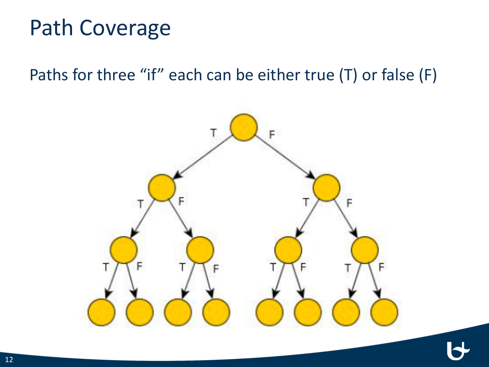## Path Coverage

Paths for three "if" each can be either true (T) or false (F)

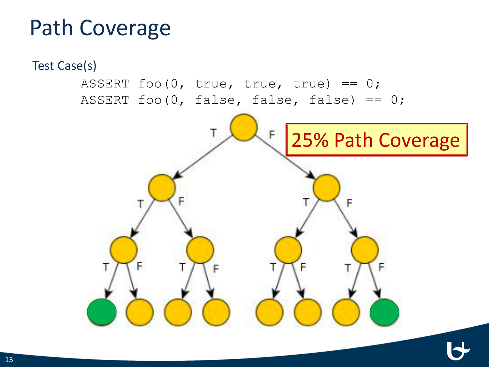# Path Coverage

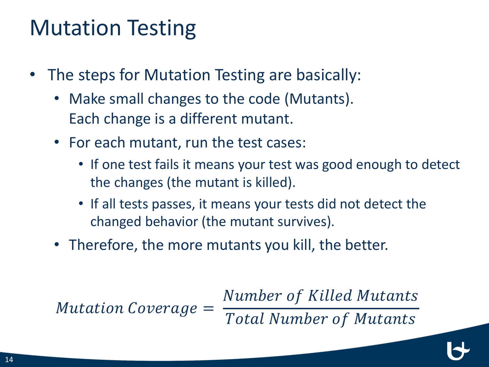## Mutation Testing

- The steps for Mutation Testing are basically:
	- Make small changes to the code (Mutants). Each change is a different mutant.
	- For each mutant, run the test cases:
		- If one test fails it means your test was good enough to detect the changes (the mutant is killed).
		- If all tests passes, it means your tests did not detect the changed behavior (the mutant survives).
	- Therefore, the more mutants you kill, the better.

Mutation Coverage =

Number of Killed Mutants

**Total Number of Mutants**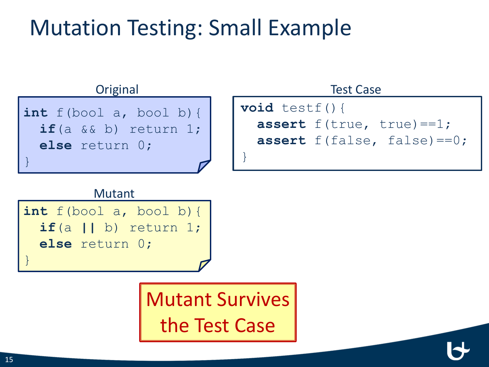# Mutation Testing: Small Example



#### Mutant

```
int f(bool a, bool b){
  if(a || b) return 1; 
 else return 0;
```
Mutant Survives the Test Case

}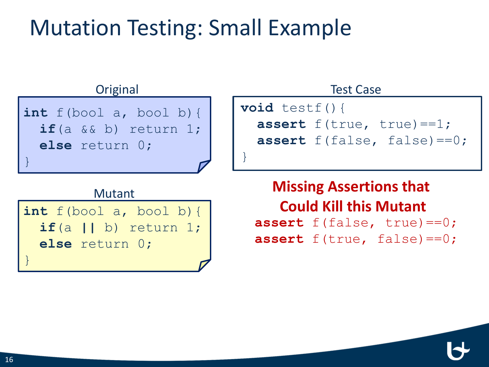# Mutation Testing: Small Example



#### Mutant

**int** f(bool a, bool b){ **if**(a **||** b) return 1; **else** return 0; }

**assert** f(false, true)==0; **assert** f(true, false)==0; **Missing Assertions that Could Kill this Mutant**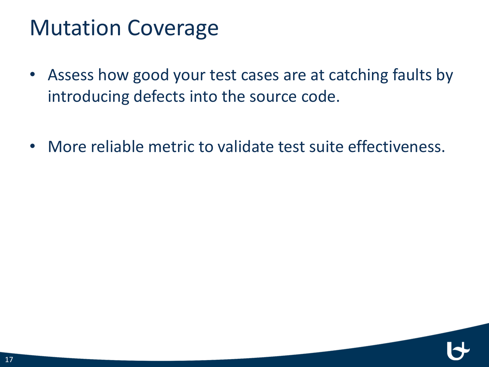### Mutation Coverage

- Assess how good your test cases are at catching faults by introducing defects into the source code.
- More reliable metric to validate test suite effectiveness.